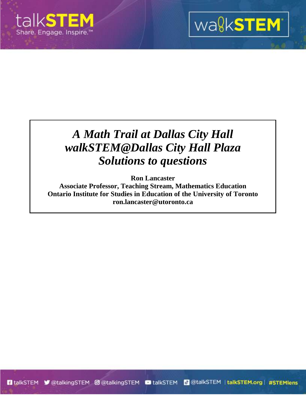



# *A Math Trail at Dallas City Hall walkSTEM@Dallas City Hall Plaza Solutions to questions*

**Ron Lancaster**

**Associate Professor, Teaching Stream, Mathematics Education Ontario Institute for Studies in Education of the University of Toronto ron.lancaster@utoronto.ca**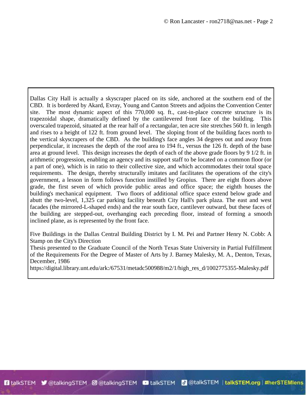Dallas City Hall is actually a skyscraper placed on its side, anchored at the southern end of the CBD. It is bordered by Akard, Evray, Young and Canton Streets and adjoins the Convention Center site. The most dynamic aspect of this 770,000 sq. ft., cast-in-place concrete structure is its trapezoidal shape, dramatically defined by the cantilevered front face of the building. This overscaled trapezoid, situated at the rear half of a rectangular, ten acre site stretches 560 ft. in length and rises to a height of 122 ft. from ground level. The sloping front of the building faces north to the vertical skyscrapers of the CBD. As the building's face angles 34 degrees out and away from perpendicular, it increases the depth of the roof area to 194 ft., versus the 126 ft. depth of the base area at ground level. This design increases the depth of each of the above grade floors by 9 1/2 ft. in arithmetic progression, enabling an agency and its support staff to be located on a common floor (or a part of one), which is in ratio to their collective size, and which accommodates their total space requirements. The design, thereby structurally imitates and facilitates the operations of the city's government, a lesson in form follows function instilled by Gropius. There are eight floors above grade, the first seven of which provide public areas and office space; the eighth houses the building's mechanical equipment. Two floors of additional office space extend below grade and abutt the two-level, 1,325 car parking facility beneath City Hall's park plaza. The east and west facades (the mirrored-L-shaped ends) and the rear south face, cantilever outward, but these faces of the building are stepped-out, overhanging each preceding floor, instead of forming a smooth inclined plane, as is represented by the front face.

Five Buildings in the Dallas Central Building District by I. M. Pei and Partner Henry N. Cobb: A Stamp on the City's Direction

Thesis presented to the Graduate Council of the North Texas State University in Partial Fulfillment of the Requirements For the Degree of Master of Arts by J. Barney Malesky, M. A., Denton, Texas, December, 1986

https://digital.library.unt.edu/ark:/67531/metadc500988/m2/1/high\_res\_d/1002775355-Malesky.pdf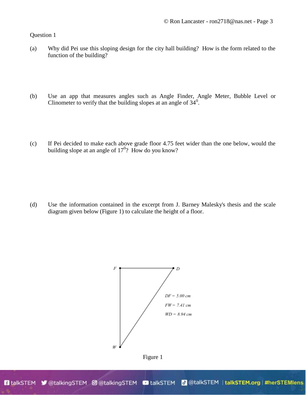- (a) Why did Pei use this sloping design for the city hall building? How is the form related to the function of the building?
- (b) Use an app that measures angles such as Angle Finder, Angle Meter, Bubble Level or Clinometer to verify that the building slopes at an angle of  $34^\circ$ .
- (c) If Pei decided to make each above grade floor 4.75 feet wider than the one below, would the building slope at an angle of  $17<sup>0</sup>$ ? How do you know?

(d) Use the information contained in the excerpt from J. Barney Malesky's thesis and the scale diagram given below (Figure 1) to calculate the height of a floor.



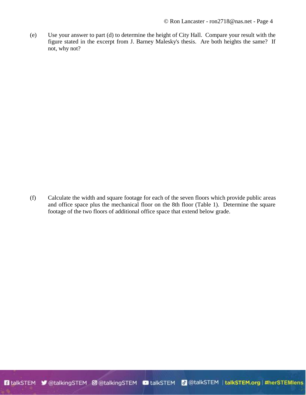(e) Use your answer to part (d) to determine the height of City Hall. Compare your result with the figure stated in the excerpt from J. Barney Malesky's thesis. Are both heights the same? If not, why not?

(f) Calculate the width and square footage for each of the seven floors which provide public areas and office space plus the mechanical floor on the 8th floor (Table 1). Determine the square footage of the two floors of additional office space that extend below grade.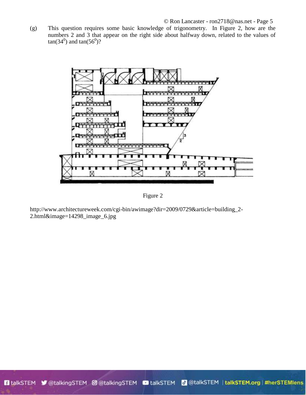(g) This question requires some basic knowledge of trigonometry. In Figure 2, how are the numbers 2 and 3 that appear on the right side about halfway down, related to the values of  $tan(34^0)$  and  $tan(56^0)$ ?



Figure 2

http://www.architectureweek.com/cgi-bin/awimage?dir=2009/0729&article=building\_2- 2.html&image=14298\_image\_6.jpg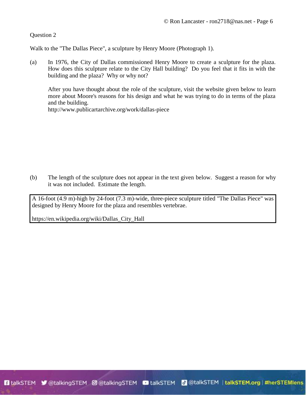Walk to the "The Dallas Piece", a sculpture by Henry Moore (Photograph 1).

(a) In 1976, the City of Dallas commissioned Henry Moore to create a sculpture for the plaza. How does this sculpture relate to the City Hall building? Do you feel that it fits in with the building and the plaza? Why or why not?

After you have thought about the role of the sculpture, visit the website given below to learn more about Moore's reasons for his design and what he was trying to do in terms of the plaza and the building.

http://www.publicartarchive.org/work/dallas-piece

(b) The length of the sculpture does not appear in the text given below. Suggest a reason for why it was not included. Estimate the length.

A 16-foot (4.9 m)-high by 24-foot (7.3 m)-wide, three-piece sculpture titled "The Dallas Piece" was designed by Henry Moore for the plaza and resembles vertebrae.

https://en.wikipedia.org/wiki/Dallas\_City\_Hall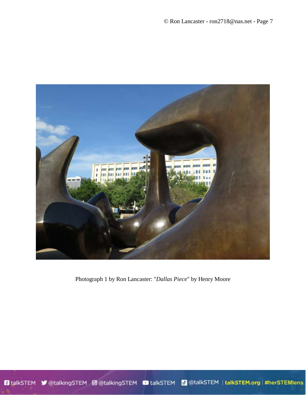

Photograph 1 by Ron Lancaster: "*Dallas Piece*" by Henry Moore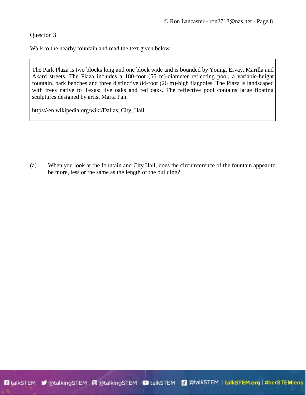Walk to the nearby fountain and read the text given below.

The Park Plaza is two blocks long and one block wide and is bounded by Young, Ervay, Marilla and Akard streets. The Plaza includes a 180-foot (55 m)-diameter reflecting pool, a variable-height fountain, park benches and three distinctive 84-foot (26 m)-high flagpoles. The Plaza is landscaped with trees native to Texas: live oaks and red oaks. The reflective pool contains large floating sculptures designed by artist Marta Pan.

https://en.wikipedia.org/wiki/Dallas\_City\_Hall

(a) When you look at the fountain and City Hall, does the circumference of the fountain appear to be more, less or the same as the length of the building?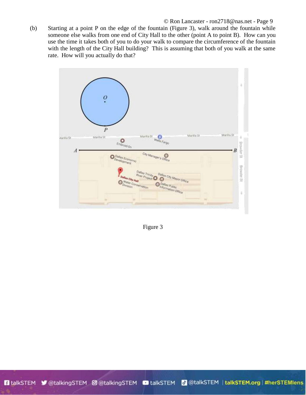(b) Starting at a point P on the edge of the fountain (Figure 3), walk around the fountain while someone else walks from one end of City Hall to the other (point A to point B). How can you use the time it takes both of you to do your walk to compare the circumference of the fountain with the length of the City Hall building? This is assuming that both of you walk at the same rate. How will you actually do that?



Figure 3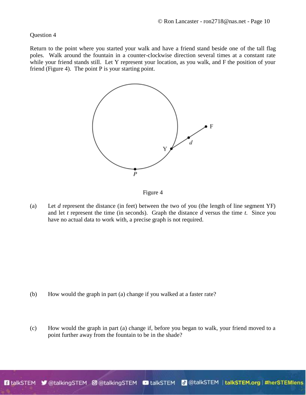Return to the point where you started your walk and have a friend stand beside one of the tall flag poles. Walk around the fountain in a counter-clockwise direction several times at a constant rate while your friend stands still. Let Y represent your location, as you walk, and F the position of your friend (Figure 4). The point P is your starting point.



Figure 4

(a) Let *d* represent the distance (in feet) between the two of you (the length of line segment YF) and let *t* represent the time (in seconds). Graph the distance *d* versus the time *t*. Since you have no actual data to work with, a precise graph is not required.

- (b) How would the graph in part (a) change if you walked at a faster rate?
- (c) How would the graph in part (a) change if, before you began to walk, your friend moved to a point further away from the fountain to be in the shade?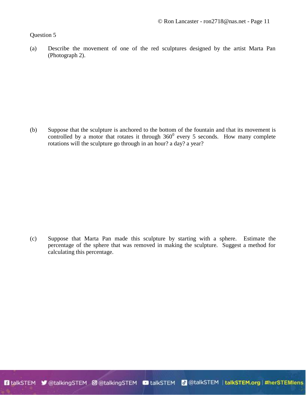(a) Describe the movement of one of the red sculptures designed by the artist Marta Pan (Photograph 2).

(b) Suppose that the sculpture is anchored to the bottom of the fountain and that its movement is controlled by a motor that rotates it through  $360^{\circ}$  every 5 seconds. How many complete rotations will the sculpture go through in an hour? a day? a year?

(c) Suppose that Marta Pan made this sculpture by starting with a sphere. Estimate the percentage of the sphere that was removed in making the sculpture. Suggest a method for calculating this percentage.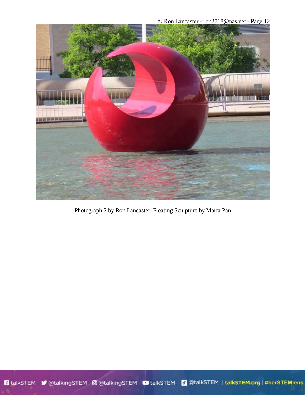© Ron Lancaster - ron2718@nas.net - Page 12 12



Photograph 2 by Ron Lancaster: Floating Sculpture by Marta Pan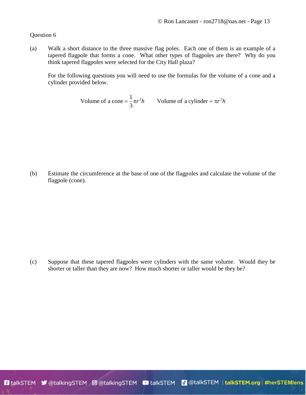(a) Walk a short distance to the three massive flag poles. Each one of them is an example of a tapered flagpole that forms a cone. What other types of flagpoles are there? Why do you think tapered flagpoles were selected for the City Hall plaza?

For the following questions you will need to use the formulas for the volume of a cone and a cylinder provided below.

Volume of a cone = 
$$
\frac{1}{3}\pi r^2 h
$$
 Volume of a cylinder =  $\pi r^2 h$ 

(b) Estimate the circumference at the base of one of the flagpoles and calculate the volume of the flagpole (cone).

(c) Suppose that these tapered flagpoles were cylinders with the same volume. Would they be shorter or taller than they are now? How much shorter or taller would be they be?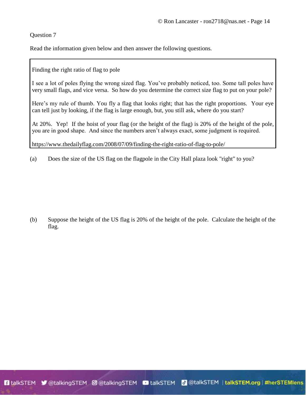Read the information given below and then answer the following questions.

Finding the right ratio of flag to pole

I see a lot of poles flying the wrong sized flag. You've probably noticed, too. Some tall poles have very small flags, and vice versa. So how do you determine the correct size flag to put on your pole?

Here's my rule of thumb. You fly a flag that looks right; that has the right proportions. Your eye can tell just by looking, if the flag is large enough, but, you still ask, where do you start?

At 20%. Yep! If the hoist of your flag (or the height of the flag) is 20% of the height of the pole, you are in good shape. And since the numbers aren't always exact, some judgment is required.

https://www.thedailyflag.com/2008/07/09/finding-the-right-ratio-of-flag-to-pole/

(a) Does the size of the US flag on the flagpole in the City Hall plaza look "right" to you?

(b) Suppose the height of the US flag is 20% of the height of the pole. Calculate the height of the flag.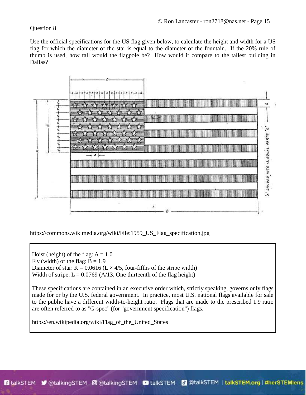Use the official specifications for the US flag given below, to calculate the height and width for a US flag for which the diameter of the star is equal to the diameter of the fountain. If the 20% rule of thumb is used, how tall would the flagpole be? How would it compare to the tallest building in Dallas?



https://commons.wikimedia.org/wiki/File:1959\_US\_Flag\_specification.jpg

Hoist (height) of the flag:  $A = 1.0$ Fly (width) of the flag:  $B = 1.9$ Diameter of star:  $K = 0.0616$  (L × 4/5, four-fifths of the stripe width) Width of stripe:  $L = 0.0769$  (A/13, One thirteenth of the flag height)

These specifications are contained in an executive order which, strictly speaking, governs only flags made for or by the U.S. federal government. In practice, most U.S. national flags available for sale to the public have a different width-to-height ratio. Flags that are made to the prescribed 1.9 ratio are often referred to as "G-spec" (for "government specification") flags.

https://en.wikipedia.org/wiki/Flag\_of\_the\_United\_States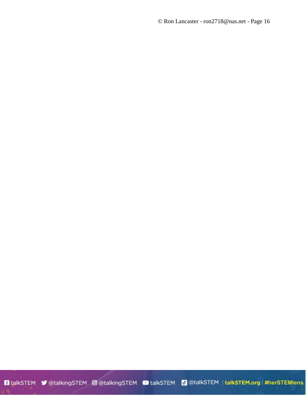n talkSTEM v @talkingSTEM @@talkingSTEM a talkSTEM a @talkSTEM | talkSTEM.org | #herSTEMlens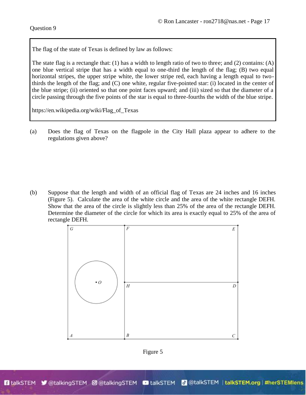The flag of the state of Texas is defined by law as follows:

The state flag is a rectangle that: (1) has a width to length ratio of two to three; and (2) contains: (A) one blue vertical stripe that has a width equal to one-third the length of the flag; (B) two equal horizontal stripes, the upper stripe white, the lower stripe red, each having a length equal to twothirds the length of the flag; and (C) one white, regular five-pointed star: (i) located in the center of the blue stripe; (ii) oriented so that one point faces upward; and (iii) sized so that the diameter of a circle passing through the five points of the star is equal to three-fourths the width of the blue stripe.

https://en.wikipedia.org/wiki/Flag\_of\_Texas

(a) Does the flag of Texas on the flagpole in the City Hall plaza appear to adhere to the regulations given above?

(b) Suppose that the length and width of an official flag of Texas are 24 inches and 16 inches (Figure 5). Calculate the area of the white circle and the area of the white rectangle DEFH. Show that the area of the circle is slightly less than 25% of the area of the rectangle DEFH. Determine the diameter of the circle for which its area is exactly equal to 25% of the area of rectangle DEFH.



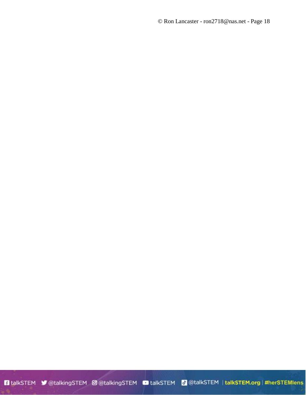n talkSTEM v @talkingSTEM @@talkingSTEM a talkSTEM a @talkSTEM | talkSTEM.org | #herSTEMlens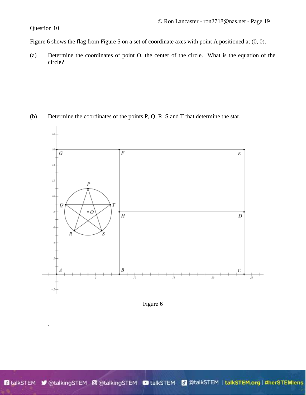.

Figure 6 shows the flag from Figure 5 on a set of coordinate axes with point A positioned at (0, 0).

(a) Determine the coordinates of point O, the center of the circle. What is the equation of the circle?

(b) Determine the coordinates of the points P, Q, R, S and T that determine the star.



Figure 6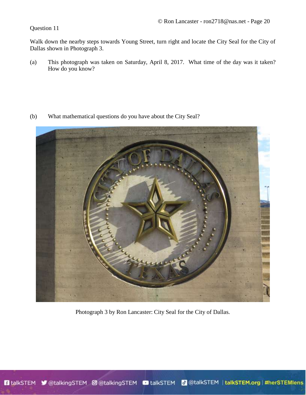Walk down the nearby steps towards Young Street, turn right and locate the City Seal for the City of Dallas shown in Photograph 3.

(a) This photograph was taken on Saturday, April 8, 2017. What time of the day was it taken? How do you know?

(b) What mathematical questions do you have about the City Seal?



Photograph 3 by Ron Lancaster: City Seal for the City of Dallas.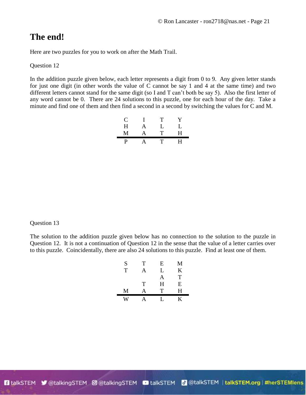# **The end!**

Here are two puzzles for you to work on after the Math Trail.

### Question 12

In the addition puzzle given below, each letter represents a digit from 0 to 9. Any given letter stands for just one digit (in other words the value of C cannot be say 1 and 4 at the same time) and two different letters cannot stand for the same digit (so I and T can't both be say 5). Also the first letter of any word cannot be 0. There are 24 solutions to this puzzle, one for each hour of the day. Take a minute and find one of them and then find a second in a second by switching the values for C and M.

| C |   | т | Y |
|---|---|---|---|
| H | A | L | L |
| М |   | т | H |
| P |   | т | H |

### Question 13

The solution to the addition puzzle given below has no connection to the solution to the puzzle in Question 12. It is not a continuation of Question 12 in the sense that the value of a letter carries over to this puzzle. Coincidentally, there are also 24 solutions to this puzzle. Find at least one of them.

| S | Т | E | M |
|---|---|---|---|
| T | A | L | K |
|   |   | A | T |
|   | т | H | E |
| M | A | т | H |
|   |   |   | K |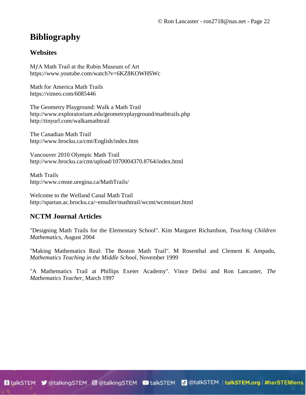# **Bibliography**

# **Websites**

MƒA Math Trail at the Rubin Museum of Art https://www.youtube.com/watch?v=6KZ8KOWHSWc

Math for America Math Trails https://vimeo.com/6085446

The Geometry Playground: Walk a Math Trail http://www.exploratorium.edu/geometryplayground/mathtrails.php http://tinyurl.com/walkamathtrail

The Canadian Math Trail http://www.brocku.ca/cmt/English/index.htm

Vancouver 2010 Olympic Math Trail http://www.brocku.ca/cmt/upload/1070004370.8764/index.html

Math Trails http://www.cmste.uregina.ca/MathTrails/

Welcome to the Welland Canal Math Trail http://spartan.ac.brocku.ca/~emuller/mathtrail/wcmt/wcmtstart.html

# **NCTM Journal Articles**

"Designing Math Trails for the Elementary School". Kim Margaret Richardson, *Teaching Children Mathematics*, August 2004

"Making Mathematics Real: The Boston Math Trail". M Rosenthal and Clement K Ampadu, *Mathematics Teaching in the Middle School*, November 1999

"A Mathematics Trail at Phillips Exeter Academy". Vince Delisi and Ron Lancaster, *The Mathematics Teacher*, March 1997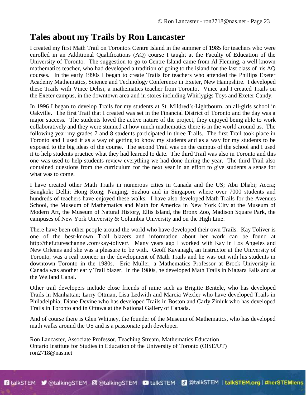# **Tales about my Trails by Ron Lancaster**

I created my first Math Trail on Toronto's Centre Island in the summer of 1985 for teachers who were enrolled in an Additional Qualifications (AQ) course I taught at the Faculty of Education of the University of Toronto. The suggestion to go to Centre Island came from Al Fleming, a well known mathematics teacher, who had developed a tradition of going to the island for the last class of his AQ courses. In the early 1990s I began to create Trails for teachers who attended the Phillips Exeter Academy Mathematics, Science and Technology Conference in Exeter, New Hampshire. I developed these Trails with Vince Delisi, a mathematics teacher from Toronto. Vince and I created Trails on the Exeter campus, in the downtown area and in stores including Whirlygigs Toys and Exeter Candy.

In 1996 I began to develop Trails for my students at St. Mildred's-Lightbourn, an all-girls school in Oakville. The first Trail that I created was set in the Financial District of Toronto and the day was a major success. The students loved the active nature of the project, they enjoyed being able to work collaboratively and they were stunned at how much mathematics there is in the world around us. The following year my grades 7 and 8 students participated in three Trails. The first Trail took place in Toronto and I used it as a way of getting to know my students and as a way for my students to be exposed to the big ideas of the course. The second Trail was on the campus of the school and I used it to help students practice what they had learned to date. The third Trail was also in Toronto and this one was used to help students review everything we had done during the year. The third Trail also contained questions from the curriculum for the next year in an effort to give students a sense for what was to come.

I have created other Math Trails in numerous cities in Canada and the US; Abu Dhabi; Accra; Bangkok; Delhi; Hong Kong; Nanjing, Suzhou and in Singapore where over 7000 students and hundreds of teachers have enjoyed these walks. I have also developed Math Trails for the Avenues School, the Museum of Mathematics and Math for America in New York City at the Museum of Modern Art, the Museum of Natural History, Ellis Island, the Bronx Zoo, Madison Square Park, the campuses of New York University & Columbia University and on the High Line.

There have been other people around the world who have developed their own Trails. Kay Toliver is one of the best-known Trail blazers and information about her work can be found at http://thefutureschannel.com/kay-toliver/. Many years ago I worked with Kay in Los Angeles and New Orleans and she was a pleasure to be with. Geoff Kavanagh, an Instructor at the University of Toronto, was a real pioneer in the development of Math Trails and he was out with his students in downtown Toronto in the 1980s. Eric Muller, a Mathematics Professor at Brock University in Canada was another early Trail blazer. In the 1980s, he developed Math Trails in Niagara Falls and at the Welland Canal.

Other trail developers include close friends of mine such as Brigitte Bentele, who has developed Trails in Manhattan; Larry Ottman, Lisa Ledwith and Marcia Wexler who have developed Trails in Philadelphia; Diane Devine who has developed Trails in Boston and Carly Ziniuk who has developed Trails in Toronto and in Ottawa at the National Gallery of Canada.

And of course there is Glen Whitney, the founder of the Museum of Mathematics, who has developed math walks around the US and is a passionate path developer.

Ron Lancaster, Associate Professor, Teaching Stream, Mathematics Education Ontario Institute for Studies in Education of the University of Toronto (OISE/UT) ron2718@nas.net